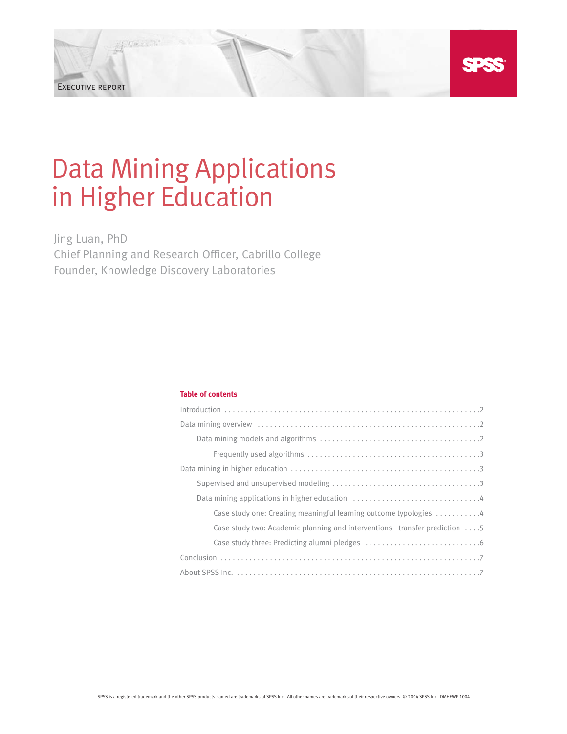

Data Mining Applications in Higher Education

Executive report

Jing Luan, PhD Chief Planning and Research Officer, Cabrillo College Founder, Knowledge Discovery Laboratories

# **Table of contents**

| Case study one: Creating meaningful learning outcome typologies 4                  |
|------------------------------------------------------------------------------------|
| Case study two: Academic planning and interventions—transfer prediction $\dots$ .5 |
|                                                                                    |
|                                                                                    |
|                                                                                    |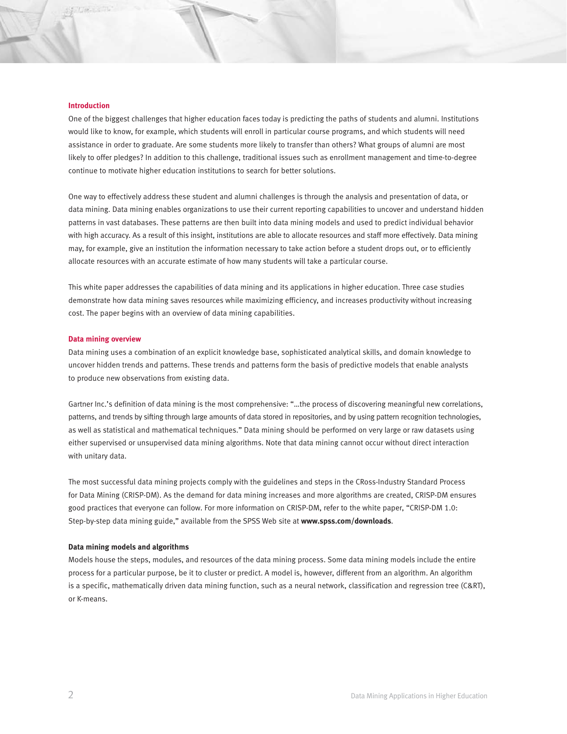### **Introduction**

One of the biggest challenges that higher education faces today is predicting the paths of students and alumni. Institutions would like to know, for example, which students will enroll in particular course programs, and which students will need assistance in order to graduate. Are some students more likely to transfer than others? What groups of alumni are most likely to offer pledges? In addition to this challenge, traditional issues such as enrollment management and time-to-degree continue to motivate higher education institutions to search for better solutions.

One way to effectively address these student and alumni challenges is through the analysis and presentation of data, or data mining. Data mining enables organizations to use their current reporting capabilities to uncover and understand hidden patterns in vast databases. These patterns are then built into data mining models and used to predict individual behavior with high accuracy. As a result of this insight, institutions are able to allocate resources and staff more effectively. Data mining may, for example, give an institution the information necessary to take action before a student drops out, or to efficiently allocate resources with an accurate estimate of how many students will take a particular course.

This white paper addresses the capabilities of data mining and its applications in higher education. Three case studies demonstrate how data mining saves resources while maximizing efficiency, and increases productivity without increasing cost. The paper begins with an overview of data mining capabilities.

### **Data mining overview**

Data mining uses a combination of an explicit knowledge base, sophisticated analytical skills, and domain knowledge to uncover hidden trends and patterns. These trends and patterns form the basis of predictive models that enable analysts to produce new observations from existing data.

Gartner Inc.'s definition of data mining is the most comprehensive: "...the process of discovering meaningful new correlations, patterns, and trends by sifting through large amounts of data stored in repositories, and by using pattern recognition technologies, as well as statistical and mathematical techniques." Data mining should be performed on very large or raw datasets using either supervised or unsupervised data mining algorithms. Note that data mining cannot occur without direct interaction with unitary data.

The most successful data mining projects comply with the guidelines and steps in the CRoss-Industry Standard Process for Data Mining (CRISP-DM). As the demand for data mining increases and more algorithms are created, CRISP-DM ensures good practices that everyone can follow. For more information on CRISP-DM, refer to the white paper, "CRISP-DM 1.0: Step-by-step data mining guide," available from the SPSS Web site at **www.spss.com/downloads**.

#### **Data mining models and algorithms**

Models house the steps, modules, and resources of the data mining process. Some data mining models include the entire process for a particular purpose, be it to cluster or predict. A model is, however, different from an algorithm. An algorithm is a specific, mathematically driven data mining function, such as a neural network, classification and regression tree (C&RT), or K-means.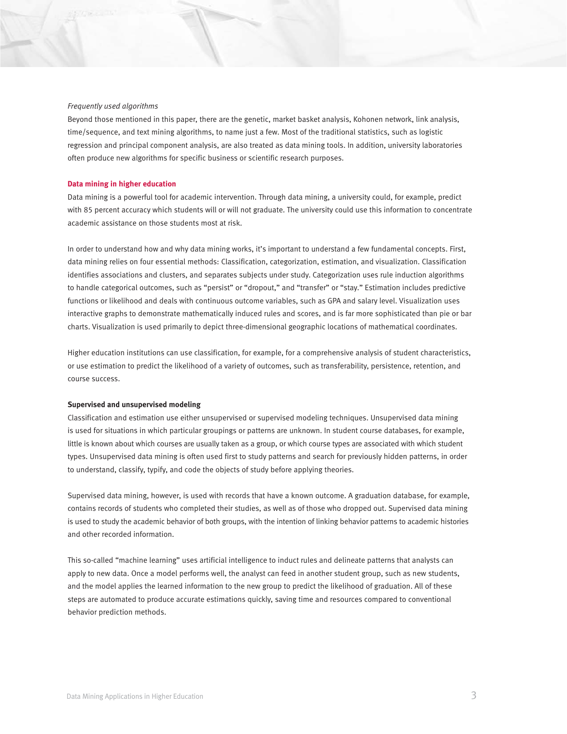## *Frequently used algorithms*

Beyond those mentioned in this paper, there are the genetic, market basket analysis, Kohonen network, link analysis, time/sequence, and text mining algorithms, to name just a few. Most of the traditional statistics, such as logistic regression and principal component analysis, are also treated as data mining tools. In addition, university laboratories often produce new algorithms for specific business or scientific research purposes.

#### **Data mining in higher education**

Data mining is a powerful tool for academic intervention. Through data mining, a university could, for example, predict with 85 percent accuracy which students will or will not graduate. The university could use this information to concentrate academic assistance on those students most at risk.

In order to understand how and why data mining works, it's important to understand a few fundamental concepts. First, data mining relies on four essential methods: Classification, categorization, estimation, and visualization. Classification identifies associations and clusters, and separates subjects under study. Categorization uses rule induction algorithms to handle categorical outcomes, such as "persist" or "dropout," and "transfer" or "stay." Estimation includes predictive functions or likelihood and deals with continuous outcome variables, such as GPA and salary level. Visualization uses interactive graphs to demonstrate mathematically induced rules and scores, and is far more sophisticated than pie or bar charts. Visualization is used primarily to depict three-dimensional geographic locations of mathematical coordinates.

Higher education institutions can use classification, for example, for a comprehensive analysis of student characteristics, or use estimation to predict the likelihood of a variety of outcomes, such as transferability, persistence, retention, and course success.

### **Supervised and unsupervised modeling**

Classification and estimation use either unsupervised or supervised modeling techniques. Unsupervised data mining is used for situations in which particular groupings or patterns are unknown. In student course databases, for example, little is known about which courses are usually taken as a group, or which course types are associated with which student types. Unsupervised data mining is often used first to study patterns and search for previously hidden patterns, in order to understand, classify, typify, and code the objects of study before applying theories.

Supervised data mining, however, is used with records that have a known outcome. A graduation database, for example, contains records of students who completed their studies, as well as of those who dropped out. Supervised data mining is used to study the academic behavior of both groups, with the intention of linking behavior patterns to academic histories and other recorded information.

This so-called "machine learning" uses artificial intelligence to induct rules and delineate patterns that analysts can apply to new data. Once a model performs well, the analyst can feed in another student group, such as new students, and the model applies the learned information to the new group to predict the likelihood of graduation. All of these steps are automated to produce accurate estimations quickly, saving time and resources compared to conventional behavior prediction methods.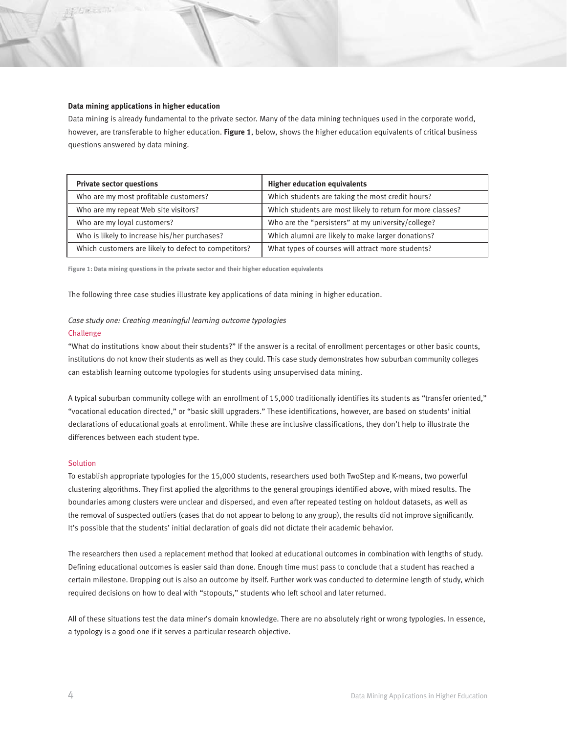## **Data mining applications in higher education**

Data mining is already fundamental to the private sector. Many of the data mining techniques used in the corporate world, however, are transferable to higher education. **Figure 1**, below, shows the higher education equivalents of critical business questions answered by data mining.

| <b>Private sector questions</b>                      | <b>Higher education equivalents</b>                        |
|------------------------------------------------------|------------------------------------------------------------|
| Who are my most profitable customers?                | Which students are taking the most credit hours?           |
| Who are my repeat Web site visitors?                 | Which students are most likely to return for more classes? |
| Who are my loyal customers?                          | Who are the "persisters" at my university/college?         |
| Who is likely to increase his/her purchases?         | Which alumni are likely to make larger donations?          |
| Which customers are likely to defect to competitors? | What types of courses will attract more students?          |

**Figure 1: Data mining questions in the private sector and their higher education equivalents**

The following three case studies illustrate key applications of data mining in higher education.

# *Case study one: Creating meaningful learning outcome typologies*

### Challenge

"What do institutions know about their students?" If the answer is a recital of enrollment percentages or other basic counts, institutions do not know their students as well as they could. This case study demonstrates how suburban community colleges can establish learning outcome typologies for students using unsupervised data mining.

A typical suburban community college with an enrollment of 15,000 traditionally identifies its students as "transfer oriented," "vocational education directed," or "basic skill upgraders." These identifications, however, are based on students' initial declarations of educational goals at enrollment. While these are inclusive classifications, they don't help to illustrate the differences between each student type.

## **Solution**

To establish appropriate typologies for the 15,000 students, researchers used both TwoStep and K-means, two powerful clustering algorithms. They first applied the algorithms to the general groupings identified above, with mixed results. The boundaries among clusters were unclear and dispersed, and even after repeated testing on holdout datasets, as well as the removal of suspected outliers (cases that do not appear to belong to any group), the results did not improve significantly. It's possible that the students' initial declaration of goals did not dictate their academic behavior.

The researchers then used a replacement method that looked at educational outcomes in combination with lengths of study. Defining educational outcomes is easier said than done. Enough time must pass to conclude that a student has reached a certain milestone. Dropping out is also an outcome by itself. Further work was conducted to determine length of study, which required decisions on how to deal with "stopouts," students who left school and later returned.

All of these situations test the data miner's domain knowledge. There are no absolutely right or wrong typologies. In essence, a typology is a good one if it serves a particular research objective.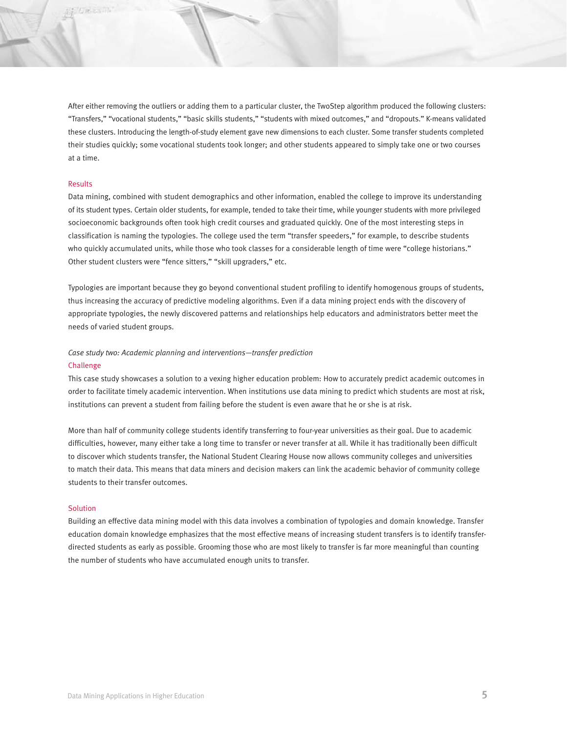After either removing the outliers or adding them to a particular cluster, the TwoStep algorithm produced the following clusters: "Transfers," "vocational students," "basic skills students," "students with mixed outcomes," and "dropouts." K-means validated these clusters. Introducing the length-of-study element gave new dimensions to each cluster. Some transfer students completed their studies quickly; some vocational students took longer; and other students appeared to simply take one or two courses at a time.

# Results

Data mining, combined with student demographics and other information, enabled the college to improve its understanding of its student types. Certain older students, for example, tended to take their time, while younger students with more privileged socioeconomic backgrounds often took high credit courses and graduated quickly. One of the most interesting steps in classification is naming the typologies. The college used the term "transfer speeders," for example, to describe students who quickly accumulated units, while those who took classes for a considerable length of time were "college historians." Other student clusters were "fence sitters," "skill upgraders," etc.

Typologies are important because they go beyond conventional student profiling to identify homogenous groups of students, thus increasing the accuracy of predictive modeling algorithms. Even if a data mining project ends with the discovery of appropriate typologies, the newly discovered patterns and relationships help educators and administrators better meet the needs of varied student groups.

# *Case study two: Academic planning and interventions—transfer prediction*

## Challenge

This case study showcases a solution to a vexing higher education problem: How to accurately predict academic outcomes in order to facilitate timely academic intervention. When institutions use data mining to predict which students are most at risk, institutions can prevent a student from failing before the student is even aware that he or she is at risk.

More than half of community college students identify transferring to four-year universities as their goal. Due to academic difficulties, however, many either take a long time to transfer or never transfer at all. While it has traditionally been difficult to discover which students transfer, the National Student Clearing House now allows community colleges and universities to match their data. This means that data miners and decision makers can link the academic behavior of community college students to their transfer outcomes.

### **Solution**

Building an effective data mining model with this data involves a combination of typologies and domain knowledge. Transfer education domain knowledge emphasizes that the most effective means of increasing student transfers is to identify transferdirected students as early as possible. Grooming those who are most likely to transfer is far more meaningful than counting the number of students who have accumulated enough units to transfer.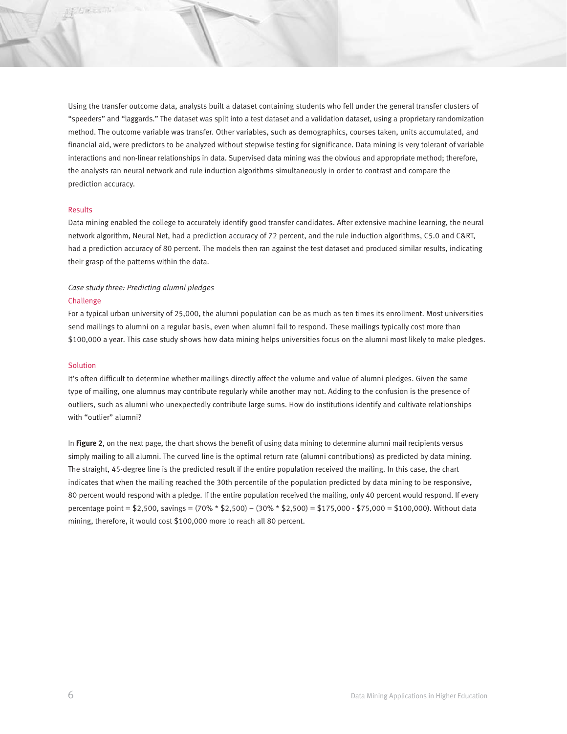Using the transfer outcome data, analysts built a dataset containing students who fell under the general transfer clusters of "speeders" and "laggards." The dataset was split into a test dataset and a validation dataset, using a proprietary randomization method. The outcome variable was transfer. Other variables, such as demographics, courses taken, units accumulated, and financial aid, were predictors to be analyzed without stepwise testing for significance. Data mining is very tolerant of variable interactions and non-linear relationships in data. Supervised data mining was the obvious and appropriate method; therefore, the analysts ran neural network and rule induction algorithms simultaneously in order to contrast and compare the prediction accuracy.

## Results

Data mining enabled the college to accurately identify good transfer candidates. After extensive machine learning, the neural network algorithm, Neural Net, had a prediction accuracy of 72 percent, and the rule induction algorithms, C5.0 and C&RT, had a prediction accuracy of 80 percent. The models then ran against the test dataset and produced similar results, indicating their grasp of the patterns within the data.

# *Case study three: Predicting alumni pledges*

# Challenge

For a typical urban university of 25,000, the alumni population can be as much as ten times its enrollment. Most universities send mailings to alumni on a regular basis, even when alumni fail to respond. These mailings typically cost more than \$100,000 a year. This case study shows how data mining helps universities focus on the alumni most likely to make pledges.

# **Solution**

It's often difficult to determine whether mailings directly affect the volume and value of alumni pledges. Given the same type of mailing, one alumnus may contribute regularly while another may not. Adding to the confusion is the presence of outliers, such as alumni who unexpectedly contribute large sums. How do institutions identify and cultivate relationships with "outlier" alumni?

In **Figure 2**, on the next page, the chart shows the benefit of using data mining to determine alumni mail recipients versus simply mailing to all alumni. The curved line is the optimal return rate (alumni contributions) as predicted by data mining. The straight, 45-degree line is the predicted result if the entire population received the mailing. In this case, the chart indicates that when the mailing reached the 30th percentile of the population predicted by data mining to be responsive, 80 percent would respond with a pledge. If the entire population received the mailing, only 40 percent would respond. If every percentage point = \$2,500, savings = (70% \* \$2,500) – (30% \* \$2,500) = \$175,000 - \$75,000 = \$100,000). Without data mining, therefore, it would cost \$100,000 more to reach all 80 percent.